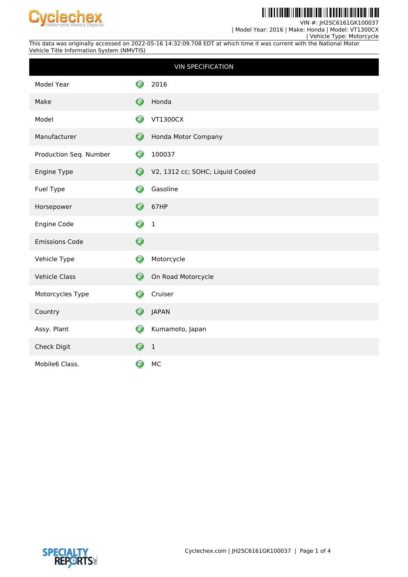

#### <u> IIII III IIIIII III III</u> **TIME DI LINI**

VIN #: JH2SC6161GK100037 | Model Year: 2016 | Make: Honda | Model: VT1300CX

| Vehicle Type: Motorcycle

This data was originally accessed on 2022-05-16 14:32:09.708 EDT at which time it was current with the National Motor Vehicle Title Information System (NMVTIS)

|                        |             | <b>VIN SPECIFICATION</b>         |
|------------------------|-------------|----------------------------------|
| Model Year             | 7           | 2016                             |
| Make                   | 0           | Honda                            |
| Model                  | 3           | VT1300CX                         |
| Manufacturer           | $\bullet$   | Honda Motor Company              |
| Production Seq. Number | $\bullet$   | 100037                           |
| Engine Type            | 0           | V2, 1312 cc; SOHC; Liquid Cooled |
| Fuel Type              | Ø           | Gasoline                         |
| Horsepower             | Ø           | 67HP                             |
| Engine Code            | $\bullet$   | $\mathbf 1$                      |
| <b>Emissions Code</b>  | $\mathbf Q$ |                                  |
| Vehicle Type           | $\bullet$   | Motorcycle                       |
| <b>Vehicle Class</b>   | Ø           | On Road Motorcycle               |
| Motorcycles Type       | Ø           | Cruiser                          |
| Country                | Ø           | <b>JAPAN</b>                     |
| Assy. Plant            | 0           | Kumamoto, Japan                  |
| Check Digit            | $\bullet$   | $\mathbf{1}$                     |
| Mobile6 Class.         | 3           | <b>MC</b>                        |

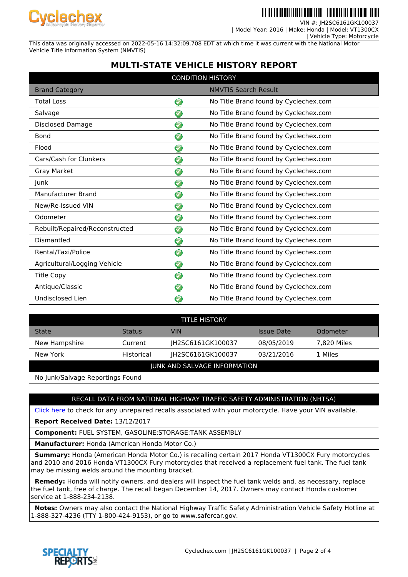

VIN #: JH2SC6161GK100037 | Model Year: 2016 | Make: Honda | Model: VT1300CX

| Vehicle Type: Motorcycle

This data was originally accessed on 2022-05-16 14:32:09.708 EDT at which time it was current with the National Motor Vehicle Title Information System (NMVTIS)

# **MULTI-STATE VEHICLE HISTORY REPORT**

| <b>CONDITION HISTORY</b>       |          |                                       |  |
|--------------------------------|----------|---------------------------------------|--|
| <b>Brand Category</b>          |          | <b>NMVTIS Search Result</b>           |  |
| <b>Total Loss</b>              | 5        | No Title Brand found by Cyclechex.com |  |
| Salvage                        | <b>V</b> | No Title Brand found by Cyclechex.com |  |
| <b>Disclosed Damage</b>        | 7        | No Title Brand found by Cyclechex.com |  |
| <b>Bond</b>                    | 7        | No Title Brand found by Cyclechex.com |  |
| Flood                          | 0        | No Title Brand found by Cyclechex.com |  |
| Cars/Cash for Clunkers         | ❤        | No Title Brand found by Cyclechex.com |  |
| Gray Market                    | ଚ        | No Title Brand found by Cyclechex.com |  |
| Junk                           | ❤        | No Title Brand found by Cyclechex.com |  |
| Manufacturer Brand             | ❤        | No Title Brand found by Cyclechex.com |  |
| New/Re-Issued VIN              | Ø        | No Title Brand found by Cyclechex.com |  |
| Odometer                       | Ø        | No Title Brand found by Cyclechex.com |  |
| Rebuilt/Repaired/Reconstructed | 7        | No Title Brand found by Cyclechex.com |  |
| Dismantled                     | 0        | No Title Brand found by Cyclechex.com |  |
| Rental/Taxi/Police             | ଚ        | No Title Brand found by Cyclechex.com |  |
| Agricultural/Logging Vehicle   | ❤        | No Title Brand found by Cyclechex.com |  |
| <b>Title Copy</b>              | ♡        | No Title Brand found by Cyclechex.com |  |
| Antique/Classic                | ♡        | No Title Brand found by Cyclechex.com |  |
| Undisclosed Lien               | 7        | No Title Brand found by Cyclechex.com |  |

|                                     |               | <b>TITLE HISTORY</b> |            |             |
|-------------------------------------|---------------|----------------------|------------|-------------|
| State                               | <b>Status</b> | VIN                  | Issue Date | Odometer    |
| New Hampshire                       | Current       | IH2SC6161GK100037    | 08/05/2019 | 7.820 Miles |
| New York                            | Historical    | IH2SC6161GK100037    | 03/21/2016 | 1 Miles     |
| <b>IUNK AND SALVAGE INFORMATION</b> |               |                      |            |             |

No Junk/Salvage Reportings Found

### RECALL DATA FROM NATIONAL HIGHWAY TRAFFIC SAFETY ADMINISTRATION (NHTSA)

[Click here](https://www-odi.nhtsa.dot.gov/owners/SearchSafetyIssues) to check for any unrepaired recalls associated with your motorcycle. Have your VIN available.

**Report Received Date:** 13/12/2017

**Component:** FUEL SYSTEM, GASOLINE:STORAGE:TANK ASSEMBLY

**Manufacturer:** Honda (American Honda Motor Co.)

 **Summary:** Honda (American Honda Motor Co.) is recalling certain 2017 Honda VT1300CX Fury motorcycles and 2010 and 2016 Honda VT1300CX Fury motorcycles that received a replacement fuel tank. The fuel tank may be missing welds around the mounting bracket.

 **Remedy:** Honda will notify owners, and dealers will inspect the fuel tank welds and, as necessary, replace the fuel tank, free of charge. The recall began December 14, 2017. Owners may contact Honda customer service at 1-888-234-2138.

 **Notes:** Owners may also contact the National Highway Traffic Safety Administration Vehicle Safety Hotline at 1-888-327-4236 (TTY 1-800-424-9153), or go to www.safercar.gov.

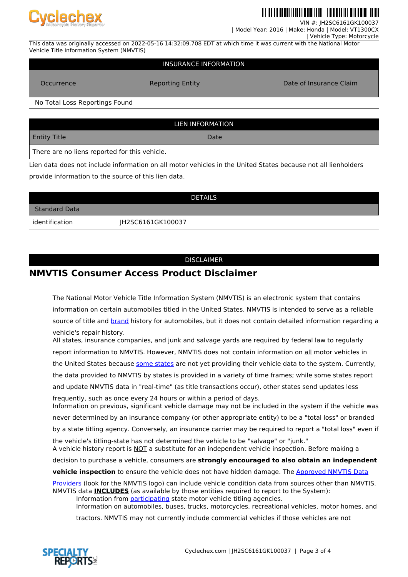

VIN #: JH2SC6161GK100037

 | Model Year: 2016 | Make: Honda | Model: VT1300CX | Vehicle Type: Motorcycle

This data was originally accessed on 2022-05-16 14:32:09.708 EDT at which time it was current with the National Motor Vehicle Title Information System (NMVTIS)

#### INSURANCE INFORMATION

Occurrence **Reporting Entity Consumer Claim** Date of Insurance Claim

No Total Loss Reportings Found

| LIEN INFORMATION                              |      |  |
|-----------------------------------------------|------|--|
| Entity Title                                  | Date |  |
| There are no liens reported for this vehicle. |      |  |

Lien data does not include information on all motor vehicles in the United States because not all lienholders provide information to the source of this lien data.

| <b>DETAILS</b> |                   |  |  |
|----------------|-------------------|--|--|
| Standard Data  |                   |  |  |
| identification | JH2SC6161GK100037 |  |  |

### **DISCLAIMER**

### **NMVTIS Consumer Access Product Disclaimer**

The National Motor Vehicle Title Information System (NMVTIS) is an electronic system that contains information on certain automobiles titled in the United States. NMVTIS is intended to serve as a reliable source of title and [brand](https://vehiclehistory.bja.ojp.gov/nmvtis_glossary) history for automobiles, but it does not contain detailed information regarding a vehicle's repair history.

All states, insurance companies, and junk and salvage yards are required by federal law to regularly report information to NMVTIS. However, NMVTIS does not contain information on all motor vehicles in the United States because [some states](https://vehiclehistory.bja.ojp.gov/nmvtis_states) are not yet providing their vehicle data to the system. Currently, the data provided to NMVTIS by states is provided in a variety of time frames; while some states report and update NMVTIS data in "real-time" (as title transactions occur), other states send updates less frequently, such as once every 24 hours or within a period of days. Information on previous, significant vehicle damage may not be included in the system if the vehicle was

never determined by an insurance company (or other appropriate entity) to be a "total loss" or branded

by a state titling agency. Conversely, an insurance carrier may be required to report a "total loss" even if

the vehicle's titling-state has not determined the vehicle to be "salvage" or "junk." A vehicle history report is NOT a substitute for an independent vehicle inspection. Before making a

decision to purchase a vehicle, consumers are **strongly encouraged to also obtain an independent**

**vehicle inspection** to ensure the vehicle does not have hidden damage. The [Approved NMVTIS Data](https://vehiclehistory.bja.ojp.gov/nmvtis_vehiclehistory)

[Providers](https://vehiclehistory.bja.ojp.gov/nmvtis_vehiclehistory) (look for the NMVTIS logo) can include vehicle condition data from sources other than NMVTIS. NMVTIS data **INCLUDES** (as available by those entities required to report to the System): Information from [participating](https://vehiclehistory.bja.ojp.gov/nmvtis_states) state motor vehicle titling agencies.

Information on automobiles, buses, trucks, motorcycles, recreational vehicles, motor homes, and

tractors. NMVTIS may not currently include commercial vehicles if those vehicles are not